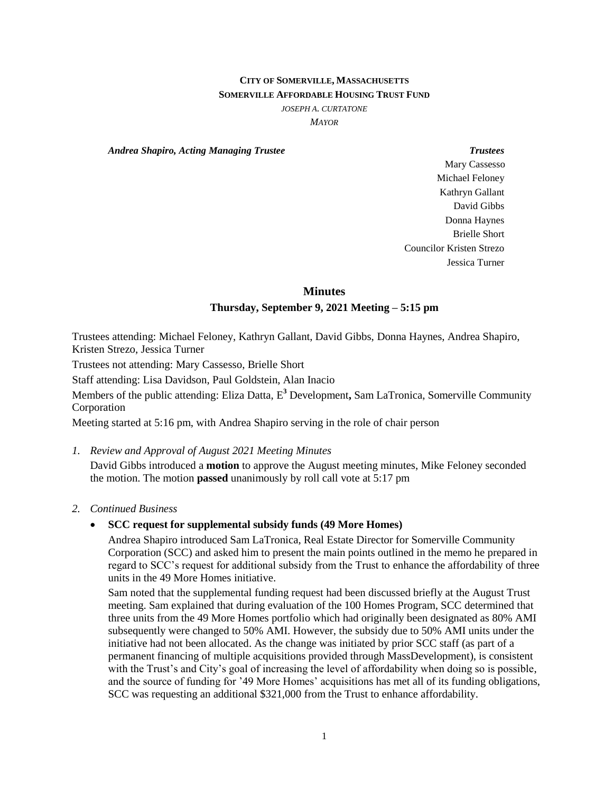# **CITY OF SOMERVILLE, MASSACHUSETTS SOMERVILLE AFFORDABLE HOUSING TRUST FUND**

*JOSEPH A. CURTATONE*

*MAYOR*

*Andrea Shapiro, Acting Managing Trustee Trustees*

Mary Cassesso Michael Feloney Kathryn Gallant David Gibbs Donna Haynes Brielle Short Councilor Kristen Strezo Jessica Turner

#### **Minutes**

## **Thursday, September 9, 2021 Meeting – 5:15 pm**

Trustees attending: Michael Feloney, Kathryn Gallant, David Gibbs, Donna Haynes, Andrea Shapiro, Kristen Strezo, Jessica Turner

Trustees not attending: Mary Cassesso, Brielle Short

Staff attending: Lisa Davidson, Paul Goldstein, Alan Inacio

Members of the public attending: Eliza Datta, E **<sup>3</sup>** Development**,** Sam LaTronica, Somerville Community Corporation

Meeting started at 5:16 pm, with Andrea Shapiro serving in the role of chair person

*1. Review and Approval of August 2021 Meeting Minutes*

David Gibbs introduced a **motion** to approve the August meeting minutes, Mike Feloney seconded the motion. The motion **passed** unanimously by roll call vote at 5:17 pm

#### *2. Continued Business*

## **SCC request for supplemental subsidy funds (49 More Homes)**

Andrea Shapiro introduced Sam LaTronica, Real Estate Director for Somerville Community Corporation (SCC) and asked him to present the main points outlined in the memo he prepared in regard to SCC's request for additional subsidy from the Trust to enhance the affordability of three units in the 49 More Homes initiative.

Sam noted that the supplemental funding request had been discussed briefly at the August Trust meeting. Sam explained that during evaluation of the 100 Homes Program, SCC determined that three units from the 49 More Homes portfolio which had originally been designated as 80% AMI subsequently were changed to 50% AMI. However, the subsidy due to 50% AMI units under the initiative had not been allocated. As the change was initiated by prior SCC staff (as part of a permanent financing of multiple acquisitions provided through MassDevelopment), is consistent with the Trust's and City's goal of increasing the level of affordability when doing so is possible, and the source of funding for '49 More Homes' acquisitions has met all of its funding obligations, SCC was requesting an additional \$321,000 from the Trust to enhance affordability.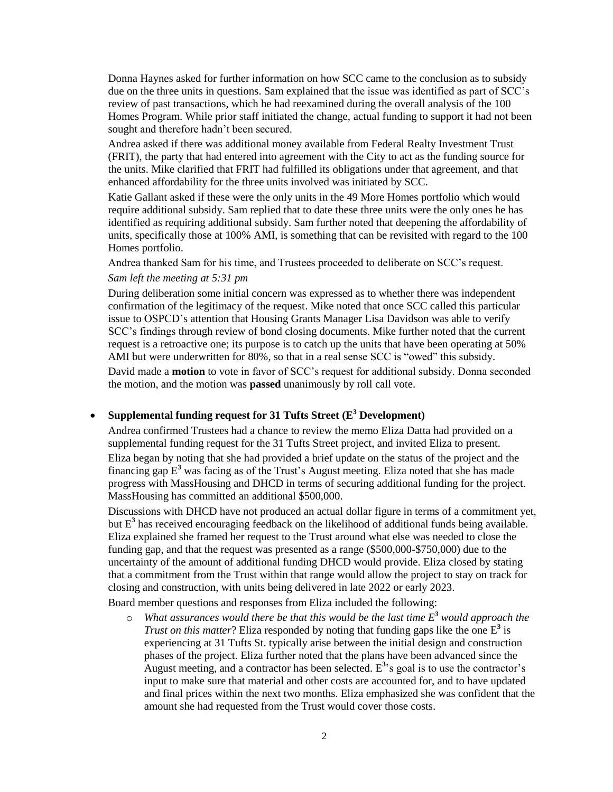Donna Haynes asked for further information on how SCC came to the conclusion as to subsidy due on the three units in questions. Sam explained that the issue was identified as part of SCC's review of past transactions, which he had reexamined during the overall analysis of the 100 Homes Program. While prior staff initiated the change, actual funding to support it had not been sought and therefore hadn't been secured.

Andrea asked if there was additional money available from Federal Realty Investment Trust (FRIT), the party that had entered into agreement with the City to act as the funding source for the units. Mike clarified that FRIT had fulfilled its obligations under that agreement, and that enhanced affordability for the three units involved was initiated by SCC.

Katie Gallant asked if these were the only units in the 49 More Homes portfolio which would require additional subsidy. Sam replied that to date these three units were the only ones he has identified as requiring additional subsidy. Sam further noted that deepening the affordability of units, specifically those at 100% AMI, is something that can be revisited with regard to the 100 Homes portfolio.

Andrea thanked Sam for his time, and Trustees proceeded to deliberate on SCC's request.

### *Sam left the meeting at 5:31 pm*

During deliberation some initial concern was expressed as to whether there was independent confirmation of the legitimacy of the request. Mike noted that once SCC called this particular issue to OSPCD's attention that Housing Grants Manager Lisa Davidson was able to verify SCC's findings through review of bond closing documents. Mike further noted that the current request is a retroactive one; its purpose is to catch up the units that have been operating at 50% AMI but were underwritten for 80%, so that in a real sense SCC is "owed" this subsidy.

David made a **motion** to vote in favor of SCC's request for additional subsidy. Donna seconded the motion, and the motion was **passed** unanimously by roll call vote.

# **Supplemental funding request for 31 Tufts Street (E <sup>3</sup> Development)**

Andrea confirmed Trustees had a chance to review the memo Eliza Datta had provided on a supplemental funding request for the 31 Tufts Street project, and invited Eliza to present. Eliza began by noting that she had provided a brief update on the status of the project and the financing gap E **<sup>3</sup>** was facing as of the Trust's August meeting. Eliza noted that she has made progress with MassHousing and DHCD in terms of securing additional funding for the project. MassHousing has committed an additional \$500,000.

Discussions with DHCD have not produced an actual dollar figure in terms of a commitment yet, but E<sup>3</sup> has received encouraging feedback on the likelihood of additional funds being available. Eliza explained she framed her request to the Trust around what else was needed to close the funding gap, and that the request was presented as a range (\$500,000-\$750,000) due to the uncertainty of the amount of additional funding DHCD would provide. Eliza closed by stating that a commitment from the Trust within that range would allow the project to stay on track for closing and construction, with units being delivered in late 2022 or early 2023.

Board member questions and responses from Eliza included the following:

o *What assurances would there be that this would be the last time E <sup>3</sup> would approach the Trust on this matter*? Eliza responded by noting that funding gaps like the one  $E^3$  is experiencing at 31 Tufts St. typically arise between the initial design and construction phases of the project. Eliza further noted that the plans have been advanced since the August meeting, and a contractor has been selected.  $E<sup>3</sup>$  s goal is to use the contractor's input to make sure that material and other costs are accounted for, and to have updated and final prices within the next two months. Eliza emphasized she was confident that the amount she had requested from the Trust would cover those costs.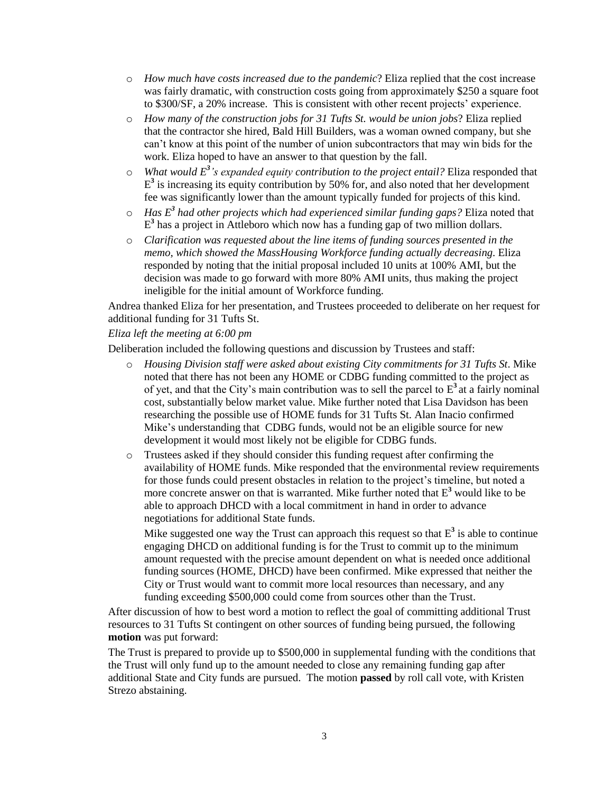- o *How much have costs increased due to the pandemic*? Eliza replied that the cost increase was fairly dramatic, with construction costs going from approximately \$250 a square foot to \$300/SF, a 20% increase. This is consistent with other recent projects' experience.
- o *How many of the construction jobs for 31 Tufts St. would be union jobs*? Eliza replied that the contractor she hired, Bald Hill Builders, was a woman owned company, but she can't know at this point of the number of union subcontractors that may win bids for the work. Eliza hoped to have an answer to that question by the fall.
- o *What would E 3 's expanded equity contribution to the project entail?* Eliza responded that  $E<sup>3</sup>$  is increasing its equity contribution by 50% for, and also noted that her development fee was significantly lower than the amount typically funded for projects of this kind.
- o *Has E 3 had other projects which had experienced similar funding gaps?* Eliza noted that E **3** has a project in Attleboro which now has a funding gap of two million dollars.
- o *Clarification was requested about the line items of funding sources presented in the memo, which showed the MassHousing Workforce funding actually decreasing*. Eliza responded by noting that the initial proposal included 10 units at 100% AMI, but the decision was made to go forward with more 80% AMI units, thus making the project ineligible for the initial amount of Workforce funding.

Andrea thanked Eliza for her presentation, and Trustees proceeded to deliberate on her request for additional funding for 31 Tufts St.

## *Eliza left the meeting at 6:00 pm*

Deliberation included the following questions and discussion by Trustees and staff:

- o *Housing Division staff were asked about existing City commitments for 31 Tufts St*. Mike noted that there has not been any HOME or CDBG funding committed to the project as of yet, and that the City's main contribution was to sell the parcel to  $E<sup>3</sup>$  at a fairly nominal cost, substantially below market value. Mike further noted that Lisa Davidson has been researching the possible use of HOME funds for 31 Tufts St. Alan Inacio confirmed Mike's understanding that CDBG funds, would not be an eligible source for new development it would most likely not be eligible for CDBG funds.
- o Trustees asked if they should consider this funding request after confirming the availability of HOME funds. Mike responded that the environmental review requirements for those funds could present obstacles in relation to the project's timeline, but noted a more concrete answer on that is warranted. Mike further noted that  $E<sup>3</sup>$  would like to be able to approach DHCD with a local commitment in hand in order to advance negotiations for additional State funds.

Mike suggested one way the Trust can approach this request so that  $E^3$  is able to continue engaging DHCD on additional funding is for the Trust to commit up to the minimum amount requested with the precise amount dependent on what is needed once additional funding sources (HOME, DHCD) have been confirmed. Mike expressed that neither the City or Trust would want to commit more local resources than necessary, and any funding exceeding \$500,000 could come from sources other than the Trust.

After discussion of how to best word a motion to reflect the goal of committing additional Trust resources to 31 Tufts St contingent on other sources of funding being pursued, the following **motion** was put forward:

The Trust is prepared to provide up to \$500,000 in supplemental funding with the conditions that the Trust will only fund up to the amount needed to close any remaining funding gap after additional State and City funds are pursued. The motion **passed** by roll call vote, with Kristen Strezo abstaining.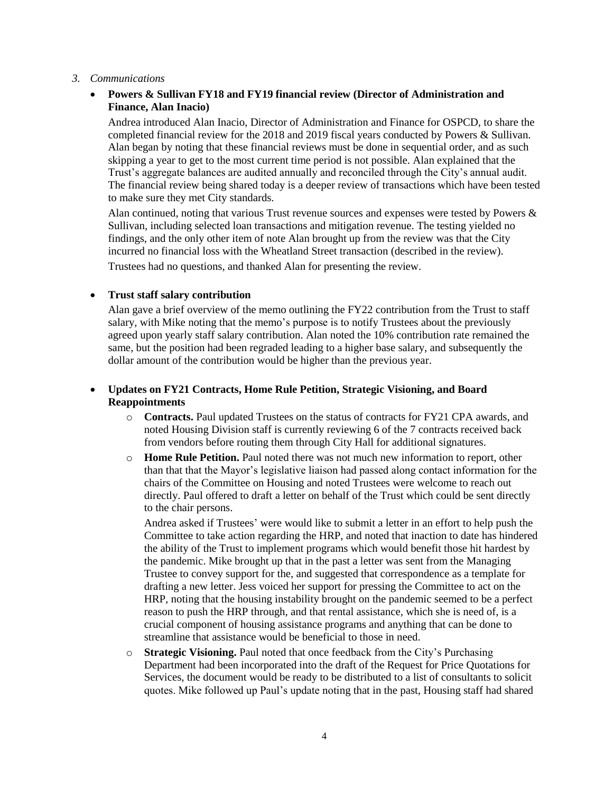#### *3. Communications*

# **Powers & Sullivan FY18 and FY19 financial review (Director of Administration and Finance, Alan Inacio)**

Andrea introduced Alan Inacio, Director of Administration and Finance for OSPCD, to share the completed financial review for the 2018 and 2019 fiscal years conducted by Powers & Sullivan. Alan began by noting that these financial reviews must be done in sequential order, and as such skipping a year to get to the most current time period is not possible. Alan explained that the Trust's aggregate balances are audited annually and reconciled through the City's annual audit. The financial review being shared today is a deeper review of transactions which have been tested to make sure they met City standards.

Alan continued, noting that various Trust revenue sources and expenses were tested by Powers & Sullivan, including selected loan transactions and mitigation revenue. The testing yielded no findings, and the only other item of note Alan brought up from the review was that the City incurred no financial loss with the Wheatland Street transaction (described in the review). Trustees had no questions, and thanked Alan for presenting the review.

## **Trust staff salary contribution**

Alan gave a brief overview of the memo outlining the FY22 contribution from the Trust to staff salary, with Mike noting that the memo's purpose is to notify Trustees about the previously agreed upon yearly staff salary contribution. Alan noted the 10% contribution rate remained the same, but the position had been regraded leading to a higher base salary, and subsequently the dollar amount of the contribution would be higher than the previous year.

## **Updates on FY21 Contracts, Home Rule Petition, Strategic Visioning, and Board Reappointments**

- o **Contracts.** Paul updated Trustees on the status of contracts for FY21 CPA awards, and noted Housing Division staff is currently reviewing 6 of the 7 contracts received back from vendors before routing them through City Hall for additional signatures.
- o **Home Rule Petition.** Paul noted there was not much new information to report, other than that that the Mayor's legislative liaison had passed along contact information for the chairs of the Committee on Housing and noted Trustees were welcome to reach out directly. Paul offered to draft a letter on behalf of the Trust which could be sent directly to the chair persons.

Andrea asked if Trustees' were would like to submit a letter in an effort to help push the Committee to take action regarding the HRP, and noted that inaction to date has hindered the ability of the Trust to implement programs which would benefit those hit hardest by the pandemic. Mike brought up that in the past a letter was sent from the Managing Trustee to convey support for the, and suggested that correspondence as a template for drafting a new letter. Jess voiced her support for pressing the Committee to act on the HRP, noting that the housing instability brought on the pandemic seemed to be a perfect reason to push the HRP through, and that rental assistance, which she is need of, is a crucial component of housing assistance programs and anything that can be done to streamline that assistance would be beneficial to those in need.

o **Strategic Visioning.** Paul noted that once feedback from the City's Purchasing Department had been incorporated into the draft of the Request for Price Quotations for Services, the document would be ready to be distributed to a list of consultants to solicit quotes. Mike followed up Paul's update noting that in the past, Housing staff had shared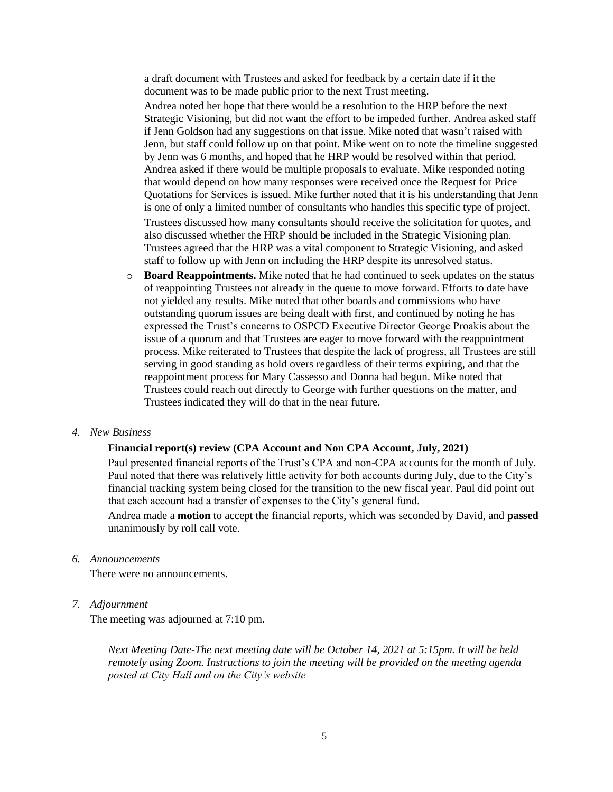a draft document with Trustees and asked for feedback by a certain date if it the document was to be made public prior to the next Trust meeting.

Andrea noted her hope that there would be a resolution to the HRP before the next Strategic Visioning, but did not want the effort to be impeded further. Andrea asked staff if Jenn Goldson had any suggestions on that issue. Mike noted that wasn't raised with Jenn, but staff could follow up on that point. Mike went on to note the timeline suggested by Jenn was 6 months, and hoped that he HRP would be resolved within that period. Andrea asked if there would be multiple proposals to evaluate. Mike responded noting that would depend on how many responses were received once the Request for Price Quotations for Services is issued. Mike further noted that it is his understanding that Jenn is one of only a limited number of consultants who handles this specific type of project.

Trustees discussed how many consultants should receive the solicitation for quotes, and also discussed whether the HRP should be included in the Strategic Visioning plan. Trustees agreed that the HRP was a vital component to Strategic Visioning, and asked staff to follow up with Jenn on including the HRP despite its unresolved status.

o **Board Reappointments.** Mike noted that he had continued to seek updates on the status of reappointing Trustees not already in the queue to move forward. Efforts to date have not yielded any results. Mike noted that other boards and commissions who have outstanding quorum issues are being dealt with first, and continued by noting he has expressed the Trust's concerns to OSPCD Executive Director George Proakis about the issue of a quorum and that Trustees are eager to move forward with the reappointment process. Mike reiterated to Trustees that despite the lack of progress, all Trustees are still serving in good standing as hold overs regardless of their terms expiring, and that the reappointment process for Mary Cassesso and Donna had begun. Mike noted that Trustees could reach out directly to George with further questions on the matter, and Trustees indicated they will do that in the near future.

### *4. New Business*

#### **Financial report(s) review (CPA Account and Non CPA Account, July, 2021)**

Paul presented financial reports of the Trust's CPA and non-CPA accounts for the month of July. Paul noted that there was relatively little activity for both accounts during July, due to the City's financial tracking system being closed for the transition to the new fiscal year. Paul did point out that each account had a transfer of expenses to the City's general fund.

Andrea made a **motion** to accept the financial reports, which was seconded by David, and **passed**  unanimously by roll call vote.

### *6. Announcements*

There were no announcements.

*7. Adjournment* 

The meeting was adjourned at 7:10 pm.

*Next Meeting Date-The next meeting date will be October 14, 2021 at 5:15pm. It will be held remotely using Zoom. Instructions to join the meeting will be provided on the meeting agenda posted at City Hall and on the City's website*